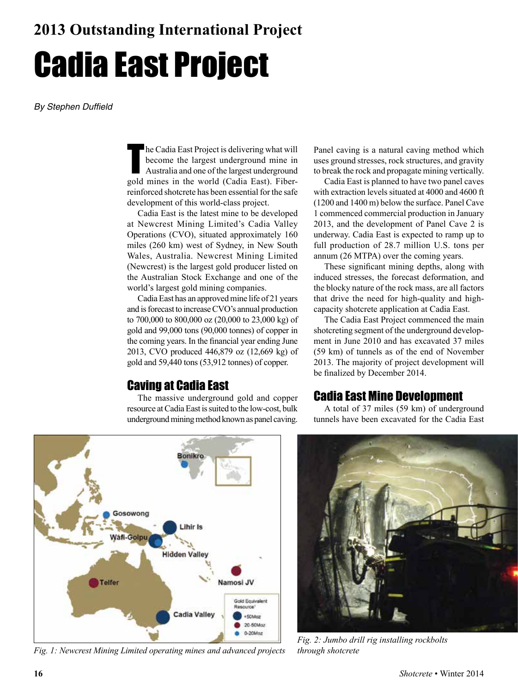# Cadia East Project

*By Stephen Duffield*

In Cadia East Project is delivering what will<br>become the largest underground mine in<br>Australia and one of the largest underground<br>gold mines in the world (Cadia East). Fiberhe Cadia East Project is delivering what will become the largest underground mine in Australia and one of the largest underground reinforced shotcrete has been essential for the safe development of this world-class project.

Cadia East is the latest mine to be developed at Newcrest Mining Limited's Cadia Valley Operations (CVO), situated approximately 160 miles (260 km) west of Sydney, in New South Wales, Australia. Newcrest Mining Limited (Newcrest) is the largest gold producer listed on the Australian Stock Exchange and one of the world's largest gold mining companies.

Cadia East has an approved mine life of 21 years and is forecast to increase CVO's annual production to 700,000 to 800,000 oz (20,000 to 23,000 kg) of gold and 99,000 tons (90,000 tonnes) of copper in the coming years. In the financial year ending June 2013, CVO produced 446,879 oz (12,669 kg) of gold and 59,440 tons (53,912 tonnes) of copper.

## Caving at Cadia East

The massive underground gold and copper resource at Cadia East is suited to the low-cost, bulk underground mining method known as panel caving.

Panel caving is a natural caving method which uses ground stresses, rock structures, and gravity to break the rock and propagate mining vertically.

Cadia East is planned to have two panel caves with extraction levels situated at 4000 and 4600 ft (1200 and 1400 m) below the surface. Panel Cave 1 commenced commercial production in January 2013, and the development of Panel Cave 2 is underway. Cadia East is expected to ramp up to full production of 28.7 million U.S. tons per annum (26 MTPA) over the coming years.

These significant mining depths, along with induced stresses, the forecast deformation, and the blocky nature of the rock mass, are all factors that drive the need for high-quality and highcapacity shotcrete application at Cadia East.

The Cadia East Project commenced the main shotcreting segment of the underground development in June 2010 and has excavated 37 miles (59 km) of tunnels as of the end of November 2013. The majority of project development will be finalized by December 2014.

## Cadia East Mine Development

A total of 37 miles (59 km) of underground tunnels have been excavated for the Cadia East



*Fig. 1: Newcrest Mining Limited operating mines and advanced projects*



*Fig. 2: Jumbo drill rig installing rockbolts through shotcrete*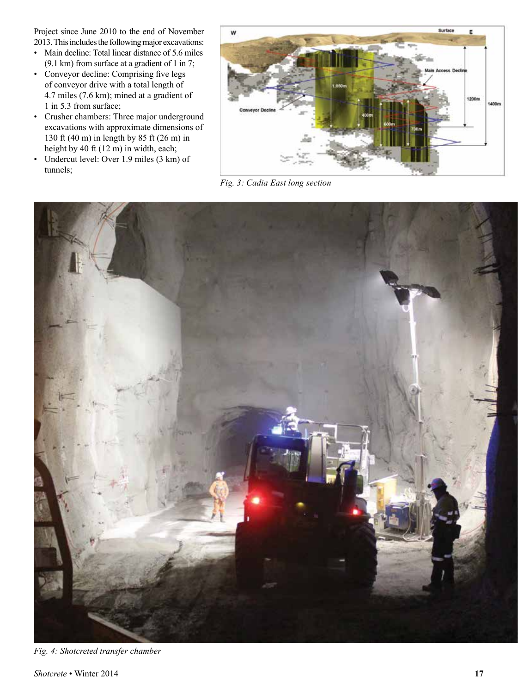Project since June 2010 to the end of November 2013. This includes the following major excavations:

- Main decline: Total linear distance of 5.6 miles (9.1 km) from surface at a gradient of 1 in 7;
- Conveyor decline: Comprising five legs of conveyor drive with a total length of 4.7 miles (7.6 km); mined at a gradient of 1 in 5.3 from surface;
- Crusher chambers: Three major underground excavations with approximate dimensions of 130 ft (40 m) in length by 85 ft (26 m) in height by 40 ft (12 m) in width, each;
- Undercut level: Over 1.9 miles (3 km) of tunnels;



*Fig. 3: Cadia East long section*



*Fig. 4: Shotcreted transfer chamber*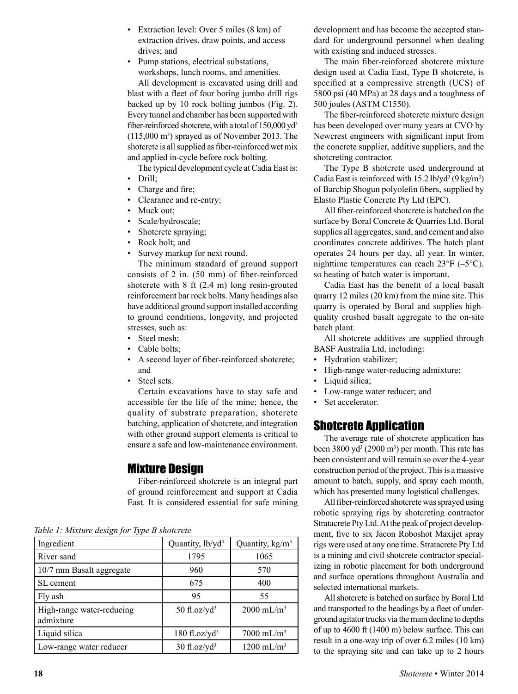- Extraction level: Over 5 miles (8 km) of extraction drives, draw points, and access drives; and
- Pump stations, electrical substations, workshops, lunch rooms, and amenities.

All development is excavated using drill and blast with a fleet of four boring jumbo drill rigs backed up by 10 rock bolting jumbos (Fig. 2). Every tunnel and chamber has been supported with fiber-reinforced shotcrete, with a total of 150,000 yd<sup>3</sup>  $(115,000 \text{ m}^3)$  sprayed as of November 2013. The shotcrete is all supplied as fiber-reinforced wet mix and applied in-cycle before rock bolting.

The typical development cycle at Cadia East is:

- Drill;
- Charge and fire;
- Clearance and re-entry;
- Muck out:
- Scale/hydroscale;
- Shotcrete spraying;
- Rock bolt; and
- Survey markup for next round.

The minimum standard of ground support consists of 2 in. (50 mm) of fiber-reinforced shotcrete with 8 ft (2.4 m) long resin-grouted reinforcement bar rock bolts. Many headings also have additional ground support installed according to ground conditions, longevity, and projected stresses, such as:

- Steel mesh;
- Cable bolts;
- A second layer of fiber-reinforced shotcrete; and
- Steel sets.

Certain excavations have to stay safe and accessible for the life of the mine; hence, the quality of substrate preparation, shotcrete batching, application of shotcrete, and integration with other ground support elements is critical to ensure a safe and low-maintenance environment.

## Mixture Design

Fiber-reinforced shotcrete is an integral part of ground reinforcement and support at Cadia East. It is considered essential for safe mining

|  |  |  |  |  |  |  | Table 1: Mixture design for Type B shotcrete |
|--|--|--|--|--|--|--|----------------------------------------------|
|--|--|--|--|--|--|--|----------------------------------------------|

| Ingredient                             | Quantity, lb/yd <sup>3</sup> | Quantity, kg/m <sup>3</sup> |
|----------------------------------------|------------------------------|-----------------------------|
| River sand                             | 1795                         | 1065                        |
| 10/7 mm Basalt aggregate               | 960                          | 570                         |
| SL cement                              | 675                          | 400                         |
| Fly ash                                | 95                           | 55                          |
| High-range water-reducing<br>admixture | 50 fl.oz/ $yd^3$             | $2000 \text{ mL/m}^3$       |
| Liquid silica                          | $180$ fl.oz/yd <sup>3</sup>  | $7000 \text{ mL/m}^3$       |
| Low-range water reducer                | $30$ fl.oz/yd <sup>3</sup>   | $1200 \text{ mL/m}^3$       |

development and has become the accepted standard for underground personnel when dealing with existing and induced stresses.

The main fiber-reinforced shotcrete mixture design used at Cadia East, Type B shotcrete, is specified at a compressive strength (UCS) of 5800 psi (40 MPa) at 28 days and a toughness of 500 joules (ASTM C1550).

The fiber-reinforced shotcrete mixture design has been developed over many years at CVO by Newcrest engineers with significant input from the concrete supplier, additive suppliers, and the shotcreting contractor.

The Type B shotcrete used underground at Cadia East is reinforced with  $15.2$  lb/yd<sup>3</sup> (9 kg/m<sup>3</sup>) of Barchip Shogun polyolefin fibers, supplied by Elasto Plastic Concrete Pty Ltd (EPC).

All fiber-reinforced shotcrete is batched on the surface by Boral Concrete & Quarries Ltd. Boral supplies all aggregates, sand, and cement and also coordinates concrete additives. The batch plant operates 24 hours per day, all year. In winter, nighttime temperatures can reach  $23^{\circ}F$  (-5 $^{\circ}C$ ), so heating of batch water is important.

Cadia East has the benefit of a local basalt quarry 12 miles (20 km) from the mine site. This quarry is operated by Boral and supplies highquality crushed basalt aggregate to the on-site batch plant.

All shotcrete additives are supplied through BASF Australia Ltd, including:

- Hydration stabilizer;
- High-range water-reducing admixture;
- Liquid silica;
- Low-range water reducer; and
- Set accelerator.

## Shotcrete Application

The average rate of shotcrete application has been 3800 yd<sup>3</sup> (2900 m<sup>3</sup>) per month. This rate has been consistent and will remain so over the 4-year construction period of the project. This is a massive amount to batch, supply, and spray each month, which has presented many logistical challenges.

All fiber-reinforced shotcrete was sprayed using robotic spraying rigs by shotcreting contractor Stratacrete Pty Ltd. At the peak of project development, five to six Jacon Roboshot Maxijet spray rigs were used at any one time. Stratacrete Pty Ltd is a mining and civil shotcrete contractor specializing in robotic placement for both underground and surface operations throughout Australia and selected international markets.

All shotcrete is batched on surface by Boral Ltd and transported to the headings by a fleet of underground agitator trucks via the main decline to depths of up to 4600 ft (1400 m) below surface. This can result in a one-way trip of over 6.2 miles (10 km) to the spraying site and can take up to 2 hours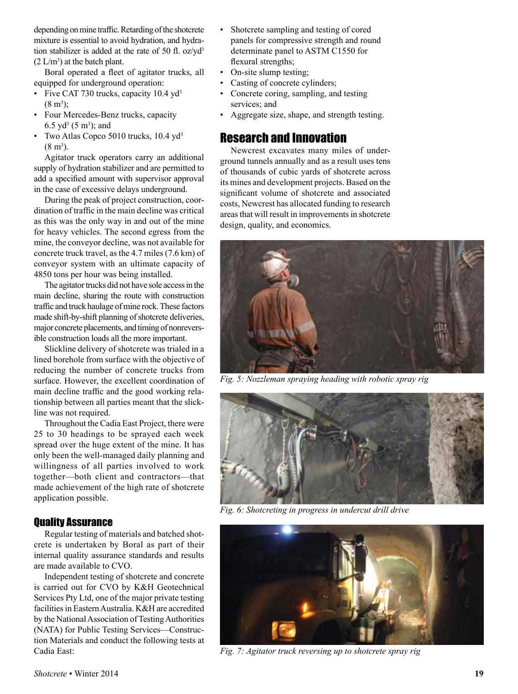depending on mine traffic. Retarding of the shotcrete mixture is essential to avoid hydration, and hydration stabilizer is added at the rate of 50 fl. oz/yd<sup>3</sup>  $(2 L/m<sup>3</sup>)$  at the batch plant.

Boral operated a fleet of agitator trucks, all equipped for underground operation:

- Five CAT 730 trucks, capacity 10.4 yd<sup>3</sup>  $(8 \text{ m}^3);$
- Four Mercedes-Benz trucks, capacity 6.5  $yd^3$  (5 m<sup>3</sup>); and
- Two Atlas Copco 5010 trucks, 10.4 yd<sup>3</sup>  $(8 \text{ m}^3)$ .

Agitator truck operators carry an additional supply of hydration stabilizer and are permitted to add a specified amount with supervisor approval in the case of excessive delays underground.

During the peak of project construction, coordination of traffic in the main decline was critical as this was the only way in and out of the mine for heavy vehicles. The second egress from the mine, the conveyor decline, was not available for concrete truck travel, as the 4.7 miles (7.6 km) of conveyor system with an ultimate capacity of 4850 tons per hour was being installed.

The agitator trucks did not have sole access in the main decline, sharing the route with construction traffic and truck haulage of mine rock. These factors made shift-by-shift planning of shotcrete deliveries, major concrete placements, and timing of nonreversible construction loads all the more important.

Slickline delivery of shotcrete was trialed in a lined borehole from surface with the objective of reducing the number of concrete trucks from surface. However, the excellent coordination of main decline traffic and the good working relationship between all parties meant that the slickline was not required.

Throughout the Cadia East Project, there were 25 to 30 headings to be sprayed each week spread over the huge extent of the mine. It has only been the well-managed daily planning and willingness of all parties involved to work together—both client and contractors—that made achievement of the high rate of shotcrete application possible.

#### Quality Assurance

Regular testing of materials and batched shotcrete is undertaken by Boral as part of their internal quality assurance standards and results are made available to CVO.

Independent testing of shotcrete and concrete is carried out for CVO by K&H Geotechnical Services Pty Ltd, one of the major private testing facilities in Eastern Australia. K&H are accredited by the National Association of Testing Authorities (NATA) for Public Testing Services—Construction Materials and conduct the following tests at Cadia East:

- Shotcrete sampling and testing of cored panels for compressive strength and round determinate panel to ASTM C1550 for flexural strengths;
- On-site slump testing;
- Casting of concrete cylinders;
- Concrete coring, sampling, and testing services; and
- Aggregate size, shape, and strength testing.

## Research and Innovation

Newcrest excavates many miles of underground tunnels annually and as a result uses tens of thousands of cubic yards of shotcrete across its mines and development projects. Based on the significant volume of shotcrete and associated costs, Newcrest has allocated funding to research areas that will result in improvements in shotcrete design, quality, and economics.



*Fig. 5: Nozzleman spraying heading with robotic spray rig*



*Fig. 6: Shotcreting in progress in undercut drill drive*



*Fig. 7: Agitator truck reversing up to shotcrete spray rig*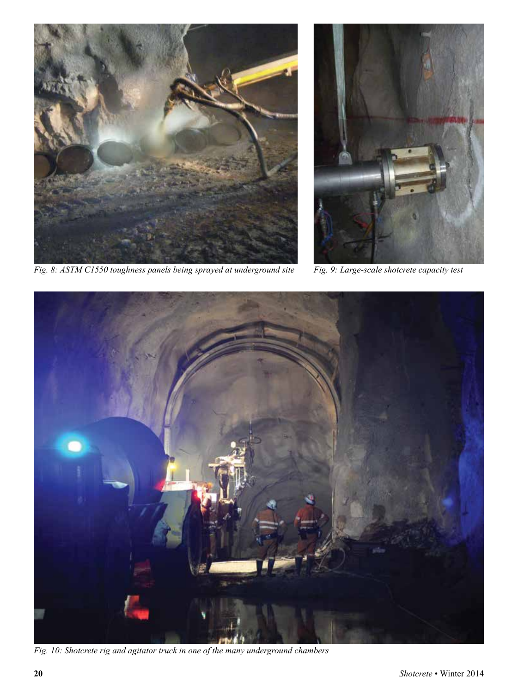

*Fig. 8: ASTM C1550 toughness panels being sprayed at underground site Fig. 9: Large-scale shotcrete capacity test*





*Fig. 10: Shotcrete rig and agitator truck in one of the many underground chambers*